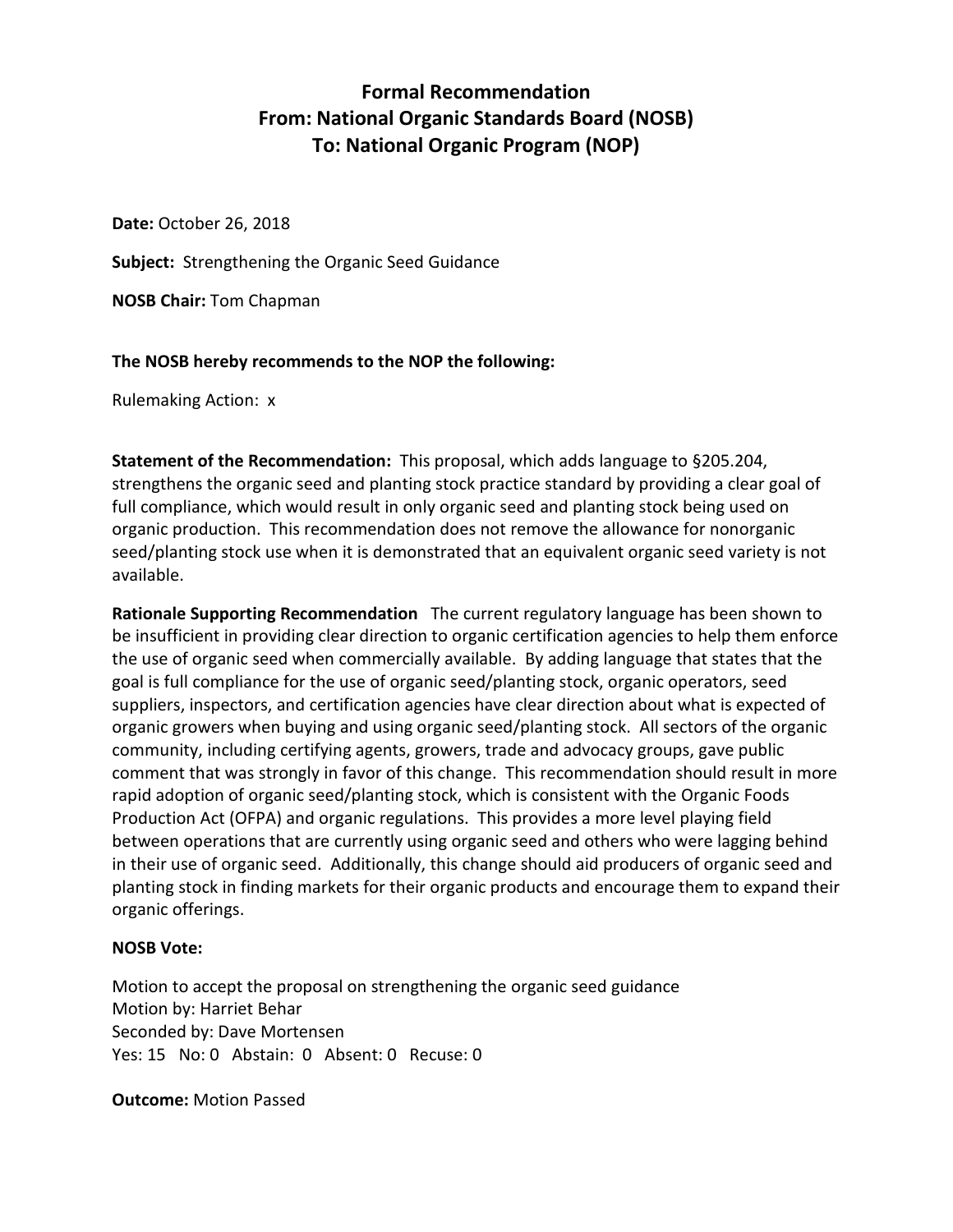# **Formal Recommendation From: National Organic Standards Board (NOSB) To: National Organic Program (NOP)**

**Date:** October 26, 2018

**Subject:** Strengthening the Organic Seed Guidance

**NOSB Chair:** Tom Chapman

### **The NOSB hereby recommends to the NOP the following:**

Rulemaking Action: x

**Statement of the Recommendation:** This proposal, which adds language to §205.204, strengthens the organic seed and planting stock practice standard by providing a clear goal of full compliance, which would result in only organic seed and planting stock being used on organic production. This recommendation does not remove the allowance for nonorganic seed/planting stock use when it is demonstrated that an equivalent organic seed variety is not available.

**Rationale Supporting Recommendation** The current regulatory language has been shown to be insufficient in providing clear direction to organic certification agencies to help them enforce the use of organic seed when commercially available. By adding language that states that the goal is full compliance for the use of organic seed/planting stock, organic operators, seed suppliers, inspectors, and certification agencies have clear direction about what is expected of organic growers when buying and using organic seed/planting stock. All sectors of the organic community, including certifying agents, growers, trade and advocacy groups, gave public comment that was strongly in favor of this change. This recommendation should result in more rapid adoption of organic seed/planting stock, which is consistent with the Organic Foods Production Act (OFPA) and organic regulations. This provides a more level playing field between operations that are currently using organic seed and others who were lagging behind in their use of organic seed. Additionally, this change should aid producers of organic seed and planting stock in finding markets for their organic products and encourage them to expand their organic offerings.

### **NOSB Vote:**

Motion to accept the proposal on strengthening the organic seed guidance Motion by: Harriet Behar Seconded by: Dave Mortensen Yes: 15 No: 0 Abstain: 0 Absent: 0 Recuse: 0

**Outcome:** Motion Passed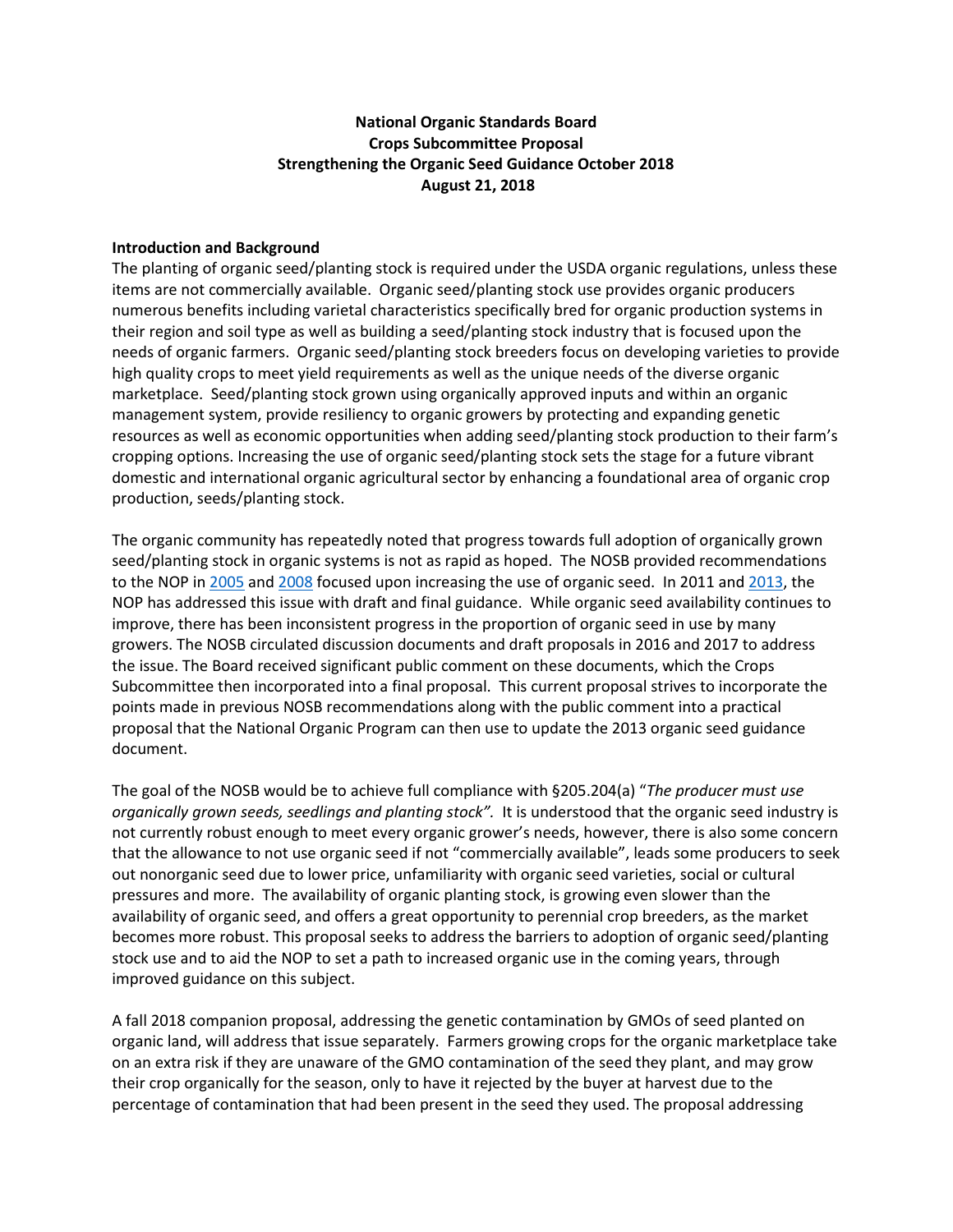### **National Organic Standards Board Crops Subcommittee Proposal Strengthening the Organic Seed Guidance October 2018 August 21, 2018**

#### **Introduction and Background**

The planting of organic seed/planting stock is required under the USDA organic regulations, unless these items are not commercially available. Organic seed/planting stock use provides organic producers numerous benefits including varietal characteristics specifically bred for organic production systems in their region and soil type as well as building a seed/planting stock industry that is focused upon the needs of organic farmers. Organic seed/planting stock breeders focus on developing varieties to provide high quality crops to meet yield requirements as well as the unique needs of the diverse organic marketplace. Seed/planting stock grown using organically approved inputs and within an organic management system, provide resiliency to organic growers by protecting and expanding genetic resources as well as economic opportunities when adding seed/planting stock production to their farm's cropping options. Increasing the use of organic seed/planting stock sets the stage for a future vibrant domestic and international organic agricultural sector by enhancing a foundational area of organic crop production, seeds/planting stock.

The organic community has repeatedly noted that progress towards full adoption of organically grown seed/planting stock in organic systems is not as rapid as hoped. The NOSB provided recommendations to the NOP i[n 2005](https://www.ams.usda.gov/sites/default/files/media/NOP%20Rec%20Commercial%20Availability%20of%20Organic%20Seed.pdf) and [2008](https://www.ams.usda.gov/sites/default/files/media/NOP%20Final%20Rec%20Seed%20Commercial%20Availability.pdf) focused upon increasing the use of organic seed. In 2011 and [2013,](https://www.ams.usda.gov/sites/default/files/media/5029.pdf) the NOP has addressed this issue with draft and final guidance. While organic seed availability continues to improve, there has been inconsistent progress in the proportion of organic seed in use by many growers. The NOSB circulated discussion documents and draft proposals in 2016 and 2017 to address the issue. The Board received significant public comment on these documents, which the Crops Subcommittee then incorporated into a final proposal. This current proposal strives to incorporate the points made in previous NOSB recommendations along with the public comment into a practical proposal that the National Organic Program can then use to update the 2013 organic seed guidance document.

The goal of the NOSB would be to achieve full compliance with §205.204(a) "*The producer must use organically grown seeds, seedlings and planting stock".* It is understood that the organic seed industry is not currently robust enough to meet every organic grower's needs, however, there is also some concern that the allowance to not use organic seed if not "commercially available", leads some producers to seek out nonorganic seed due to lower price, unfamiliarity with organic seed varieties, social or cultural pressures and more. The availability of organic planting stock, is growing even slower than the availability of organic seed, and offers a great opportunity to perennial crop breeders, as the market becomes more robust. This proposal seeks to address the barriers to adoption of organic seed/planting stock use and to aid the NOP to set a path to increased organic use in the coming years, through improved guidance on this subject.

A fall 2018 companion proposal, addressing the genetic contamination by GMOs of seed planted on organic land, will address that issue separately. Farmers growing crops for the organic marketplace take on an extra risk if they are unaware of the GMO contamination of the seed they plant, and may grow their crop organically for the season, only to have it rejected by the buyer at harvest due to the percentage of contamination that had been present in the seed they used. The proposal addressing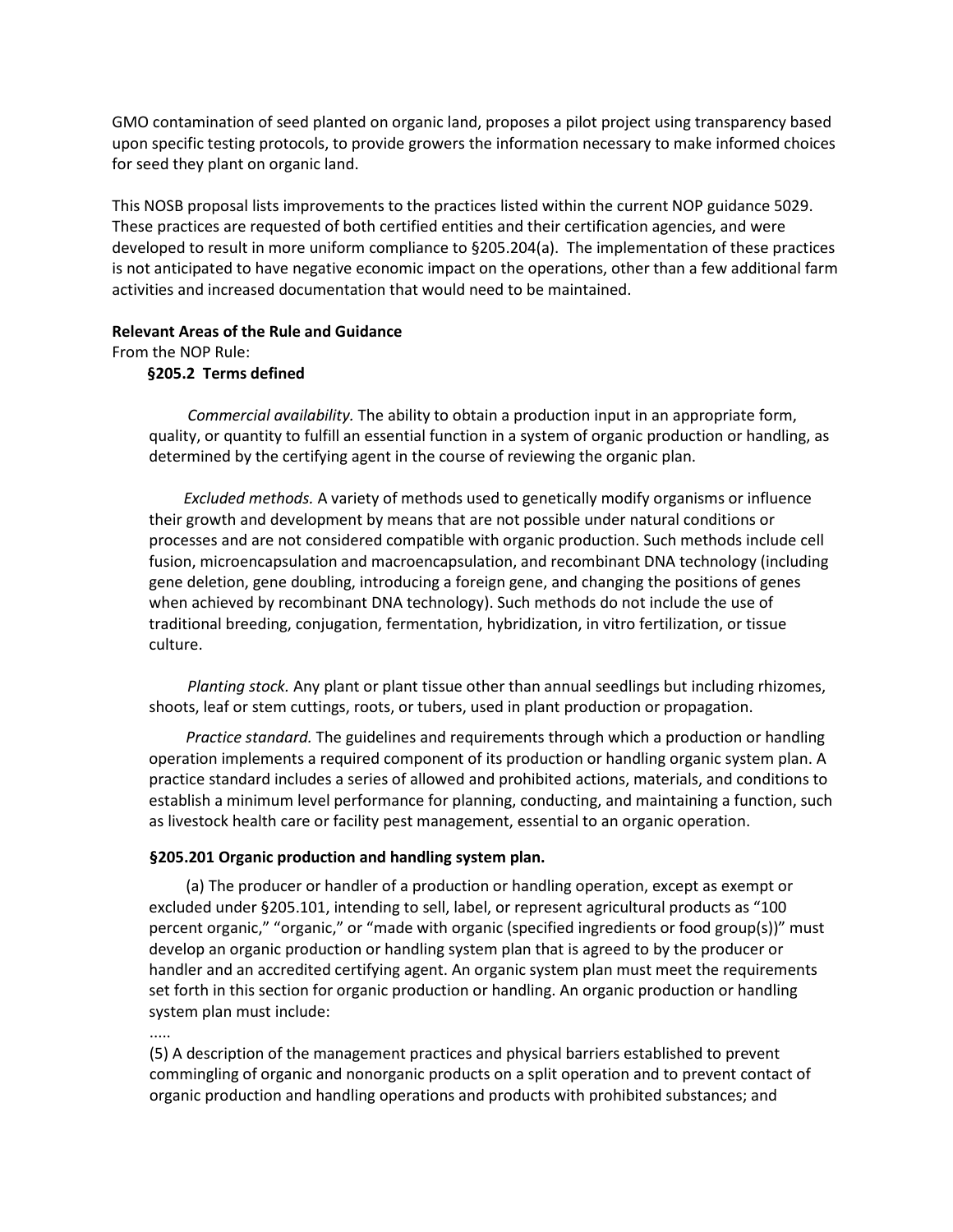GMO contamination of seed planted on organic land, proposes a pilot project using transparency based upon specific testing protocols, to provide growers the information necessary to make informed choices for seed they plant on organic land.

This NOSB proposal lists improvements to the practices listed within the current NOP guidance 5029. These practices are requested of both certified entities and their certification agencies, and were developed to result in more uniform compliance to §205.204(a). The implementation of these practices is not anticipated to have negative economic impact on the operations, other than a few additional farm activities and increased documentation that would need to be maintained.

#### **Relevant Areas of the Rule and Guidance**

From the NOP Rule:

#### **§205.2 Terms defined**

*Commercial availability.* The ability to obtain a production input in an appropriate form, quality, or quantity to fulfill an essential function in a system of organic production or handling, as determined by the certifying agent in the course of reviewing the organic plan.

 *Excluded methods.* A variety of methods used to genetically modify organisms or influence their growth and development by means that are not possible under natural conditions or processes and are not considered compatible with organic production. Such methods include cell fusion, microencapsulation and macroencapsulation, and recombinant DNA technology (including gene deletion, gene doubling, introducing a foreign gene, and changing the positions of genes when achieved by recombinant DNA technology). Such methods do not include the use of traditional breeding, conjugation, fermentation, hybridization, in vitro fertilization, or tissue culture.

 *Planting stock.* Any plant or plant tissue other than annual seedlings but including rhizomes, shoots, leaf or stem cuttings, roots, or tubers, used in plant production or propagation.

*Practice standard.* The guidelines and requirements through which a production or handling operation implements a required component of its production or handling organic system plan. A practice standard includes a series of allowed and prohibited actions, materials, and conditions to establish a minimum level performance for planning, conducting, and maintaining a function, such as livestock health care or facility pest management, essential to an organic operation.

#### **§205.201 Organic production and handling system plan.**

(a) The producer or handler of a production or handling operation, except as exempt or excluded under §205.101, intending to sell, label, or represent agricultural products as "100 percent organic," "organic," or "made with organic (specified ingredients or food group(s))" must develop an organic production or handling system plan that is agreed to by the producer or handler and an accredited certifying agent. An organic system plan must meet the requirements set forth in this section for organic production or handling. An organic production or handling system plan must include:

.....

(5) A description of the management practices and physical barriers established to prevent commingling of organic and nonorganic products on a split operation and to prevent contact of organic production and handling operations and products with prohibited substances; and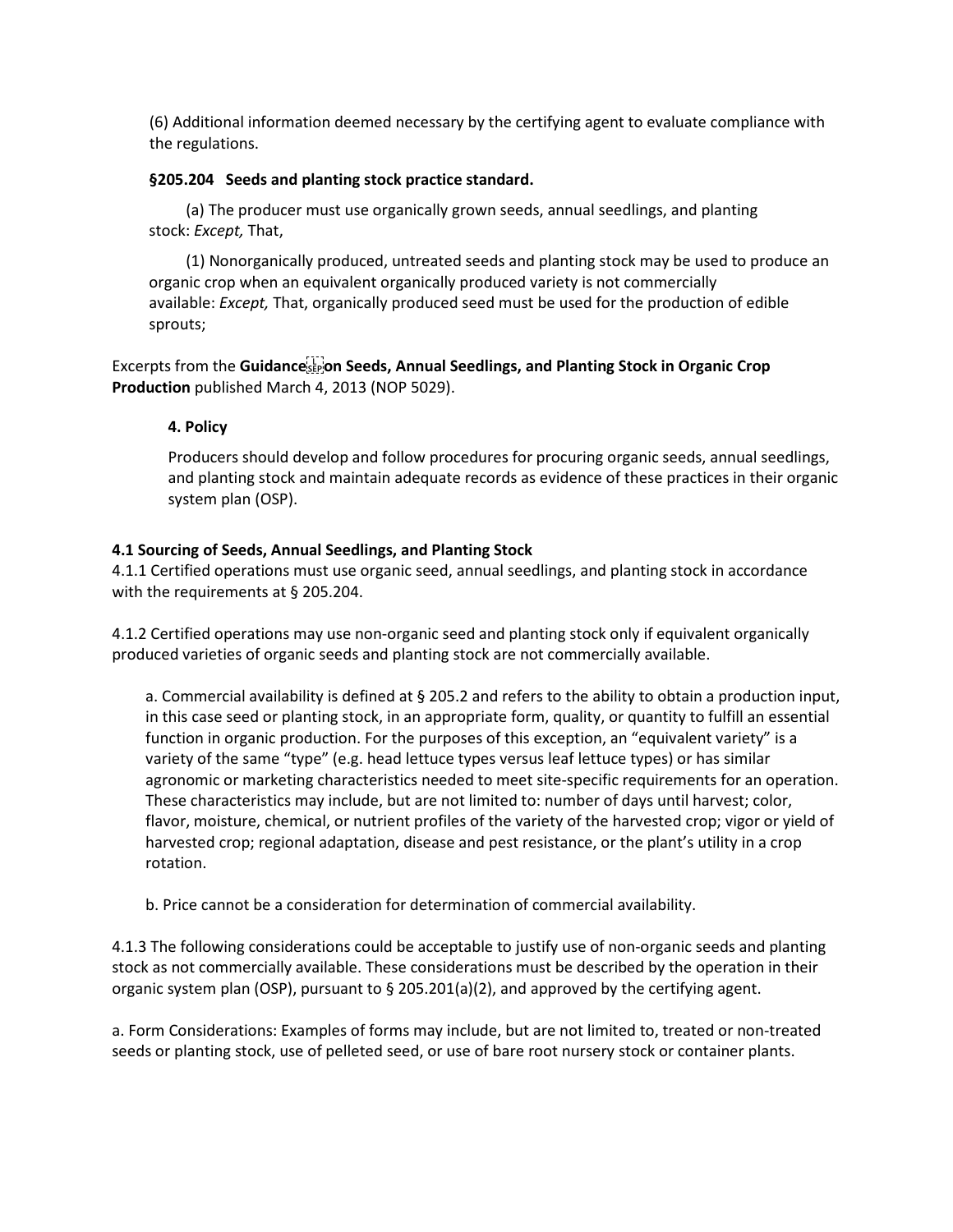(6) Additional information deemed necessary by the certifying agent to evaluate compliance with the regulations.

#### **§205.204 Seeds and planting stock practice standard.**

(a) The producer must use organically grown seeds, annual seedlings, and planting stock: *Except,* That,

(1) Nonorganically produced, untreated seeds and planting stock may be used to produce an organic crop when an equivalent organically produced variety is not commercially available: *Except,* That, organically produced seed must be used for the production of edible sprouts;

Excerpts from the Guidance **Seeds, Annual Seedlings, and Planting Stock in Organic Crop Production** published March 4, 2013 (NOP 5029).

### **4. Policy**

Producers should develop and follow procedures for procuring organic seeds, annual seedlings, and planting stock and maintain adequate records as evidence of these practices in their organic system plan (OSP).

#### **4.1 Sourcing of Seeds, Annual Seedlings, and Planting Stock**

4.1.1 Certified operations must use organic seed, annual seedlings, and planting stock in accordance with the requirements at § 205.204.

4.1.2 Certified operations may use non-organic seed and planting stock only if equivalent organically produced varieties of organic seeds and planting stock are not commercially available.

a. Commercial availability is defined at § 205.2 and refers to the ability to obtain a production input, in this case seed or planting stock, in an appropriate form, quality, or quantity to fulfill an essential function in organic production. For the purposes of this exception, an "equivalent variety" is a variety of the same "type" (e.g. head lettuce types versus leaf lettuce types) or has similar agronomic or marketing characteristics needed to meet site-specific requirements for an operation. These characteristics may include, but are not limited to: number of days until harvest; color, flavor, moisture, chemical, or nutrient profiles of the variety of the harvested crop; vigor or yield of harvested crop; regional adaptation, disease and pest resistance, or the plant's utility in a crop rotation.

b. Price cannot be a consideration for determination of commercial availability.

4.1.3 The following considerations could be acceptable to justify use of non-organic seeds and planting stock as not commercially available. These considerations must be described by the operation in their organic system plan (OSP), pursuant to  $\S$  205.201(a)(2), and approved by the certifying agent.

a. Form Considerations: Examples of forms may include, but are not limited to, treated or non-treated seeds or planting stock, use of pelleted seed, or use of bare root nursery stock or container plants.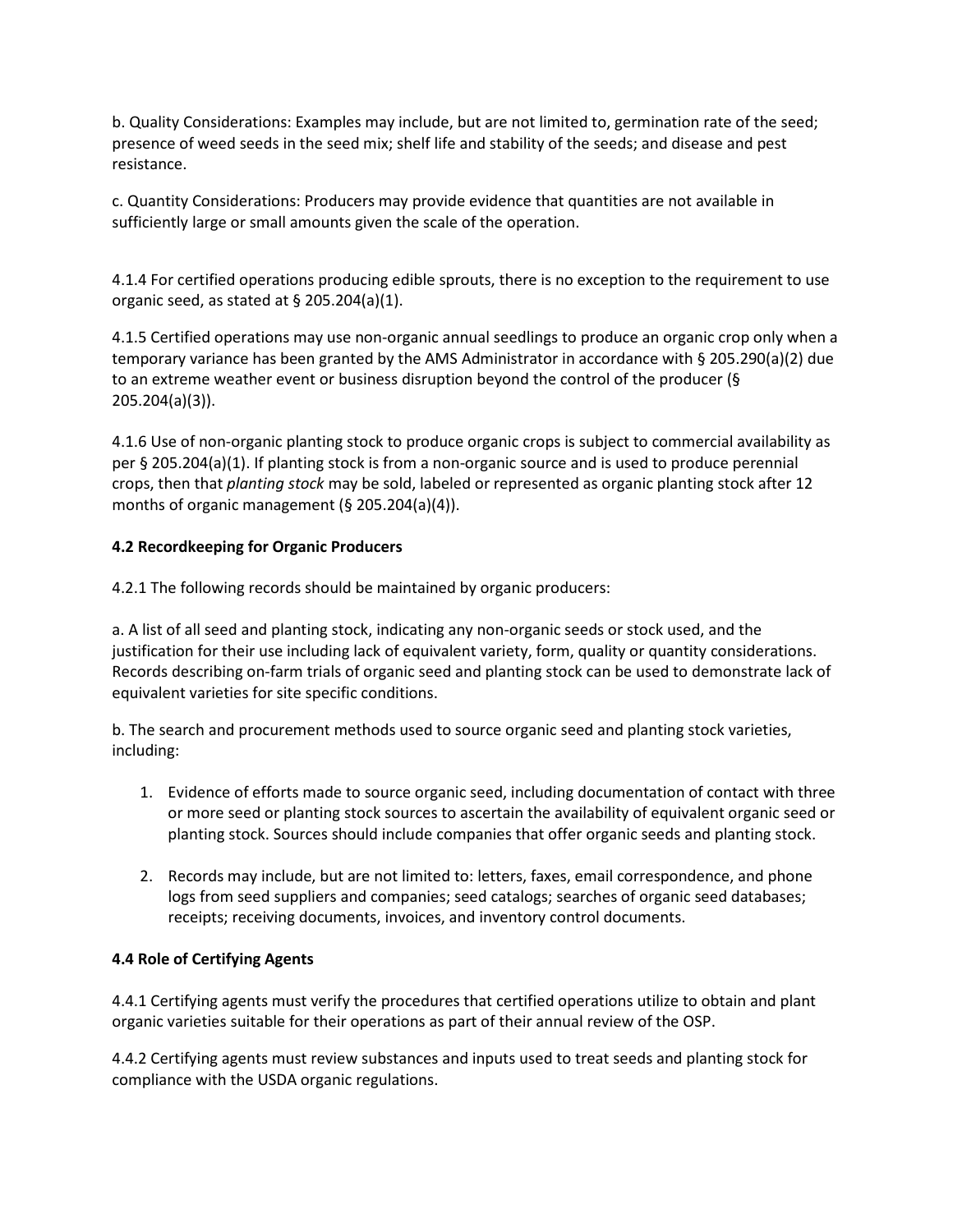b. Quality Considerations: Examples may include, but are not limited to, germination rate of the seed; presence of weed seeds in the seed mix; shelf life and stability of the seeds; and disease and pest resistance.

c. Quantity Considerations: Producers may provide evidence that quantities are not available in sufficiently large or small amounts given the scale of the operation.

4.1.4 For certified operations producing edible sprouts, there is no exception to the requirement to use organic seed, as stated at § 205.204(a)(1).

4.1.5 Certified operations may use non-organic annual seedlings to produce an organic crop only when a temporary variance has been granted by the AMS Administrator in accordance with § 205.290(a)(2) due to an extreme weather event or business disruption beyond the control of the producer (§ 205.204(a)(3)).

4.1.6 Use of non-organic planting stock to produce organic crops is subject to commercial availability as per § 205.204(a)(1). If planting stock is from a non-organic source and is used to produce perennial crops, then that *planting stock* may be sold, labeled or represented as organic planting stock after 12 months of organic management (§ 205.204(a)(4)).

### **4.2 Recordkeeping for Organic Producers**

4.2.1 The following records should be maintained by organic producers:

a. A list of all seed and planting stock, indicating any non-organic seeds or stock used, and the justification for their use including lack of equivalent variety, form, quality or quantity considerations. Records describing on-farm trials of organic seed and planting stock can be used to demonstrate lack of equivalent varieties for site specific conditions.

b. The search and procurement methods used to source organic seed and planting stock varieties, including:

- 1. Evidence of efforts made to source organic seed, including documentation of contact with three or more seed or planting stock sources to ascertain the availability of equivalent organic seed or planting stock. Sources should include companies that offer organic seeds and planting stock.
- 2. Records may include, but are not limited to: letters, faxes, email correspondence, and phone logs from seed suppliers and companies; seed catalogs; searches of organic seed databases; receipts; receiving documents, invoices, and inventory control documents.

### **4.4 Role of Certifying Agents**

4.4.1 Certifying agents must verify the procedures that certified operations utilize to obtain and plant organic varieties suitable for their operations as part of their annual review of the OSP.

4.4.2 Certifying agents must review substances and inputs used to treat seeds and planting stock for compliance with the USDA organic regulations.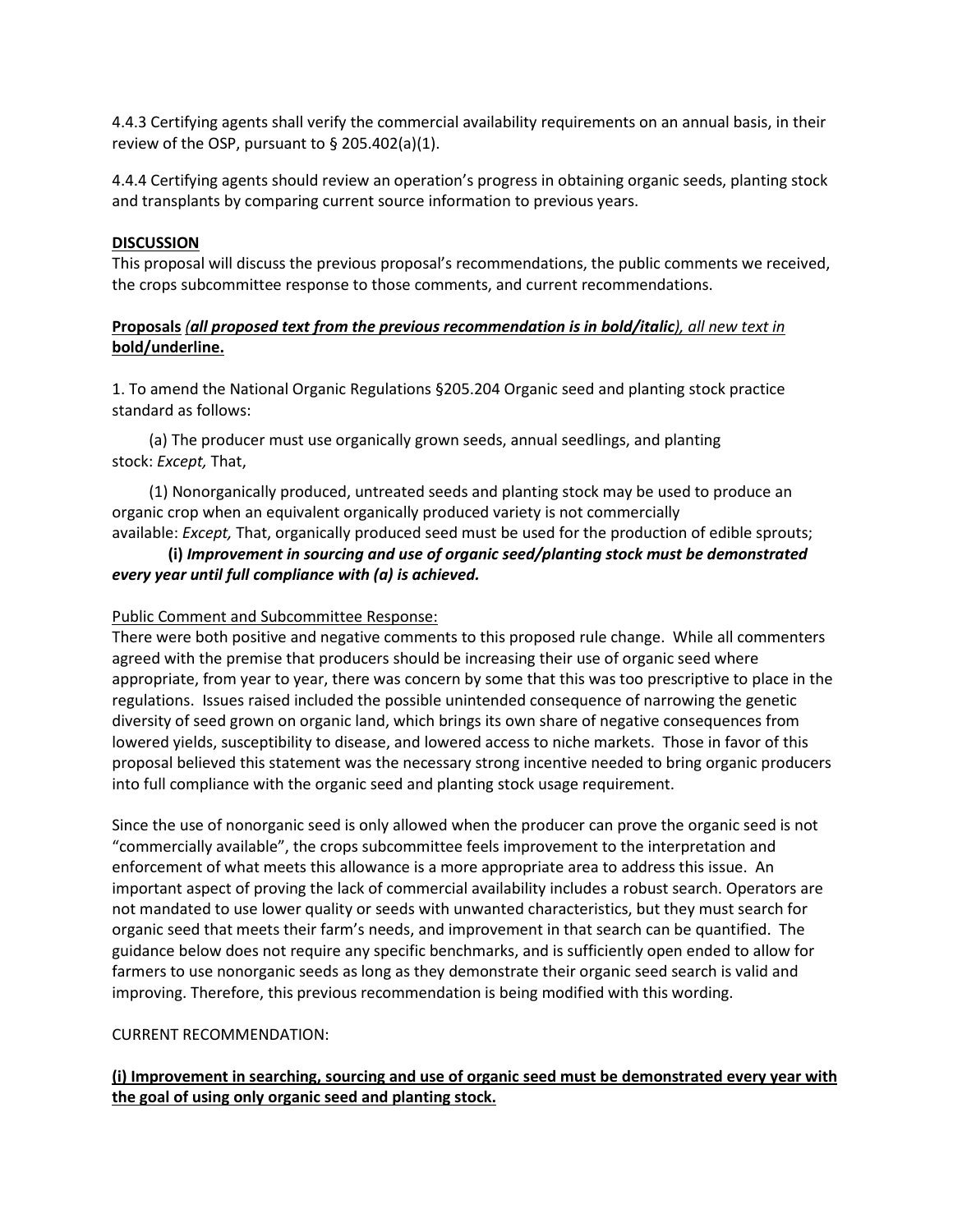4.4.3 Certifying agents shall verify the commercial availability requirements on an annual basis, in their review of the OSP, pursuant to § 205.402(a)(1).

4.4.4 Certifying agents should review an operation's progress in obtaining organic seeds, planting stock and transplants by comparing current source information to previous years.

### **DISCUSSION**

This proposal will discuss the previous proposal's recommendations, the public comments we received, the crops subcommittee response to those comments, and current recommendations.

### **Proposals** *(all proposed text from the previous recommendation is in bold/italic), all new text in*  **bold/underline.**

1. To amend the National Organic Regulations §205.204 Organic seed and planting stock practice standard as follows:

(a) The producer must use organically grown seeds, annual seedlings, and planting stock: *Except,* That,

(1) Nonorganically produced, untreated seeds and planting stock may be used to produce an organic crop when an equivalent organically produced variety is not commercially

### available: *Except,* That, organically produced seed must be used for the production of edible sprouts; **(i)** *Improvement in sourcing and use of organic seed/planting stock must be demonstrated every year until full compliance with (a) is achieved.*

### Public Comment and Subcommittee Response:

There were both positive and negative comments to this proposed rule change. While all commenters agreed with the premise that producers should be increasing their use of organic seed where appropriate, from year to year, there was concern by some that this was too prescriptive to place in the regulations. Issues raised included the possible unintended consequence of narrowing the genetic diversity of seed grown on organic land, which brings its own share of negative consequences from lowered yields, susceptibility to disease, and lowered access to niche markets. Those in favor of this proposal believed this statement was the necessary strong incentive needed to bring organic producers into full compliance with the organic seed and planting stock usage requirement.

Since the use of nonorganic seed is only allowed when the producer can prove the organic seed is not "commercially available", the crops subcommittee feels improvement to the interpretation and enforcement of what meets this allowance is a more appropriate area to address this issue. An important aspect of proving the lack of commercial availability includes a robust search. Operators are not mandated to use lower quality or seeds with unwanted characteristics, but they must search for organic seed that meets their farm's needs, and improvement in that search can be quantified. The guidance below does not require any specific benchmarks, and is sufficiently open ended to allow for farmers to use nonorganic seeds as long as they demonstrate their organic seed search is valid and improving. Therefore, this previous recommendation is being modified with this wording.

### CURRENT RECOMMENDATION:

### **(i) Improvement in searching, sourcing and use of organic seed must be demonstrated every year with the goal of using only organic seed and planting stock.**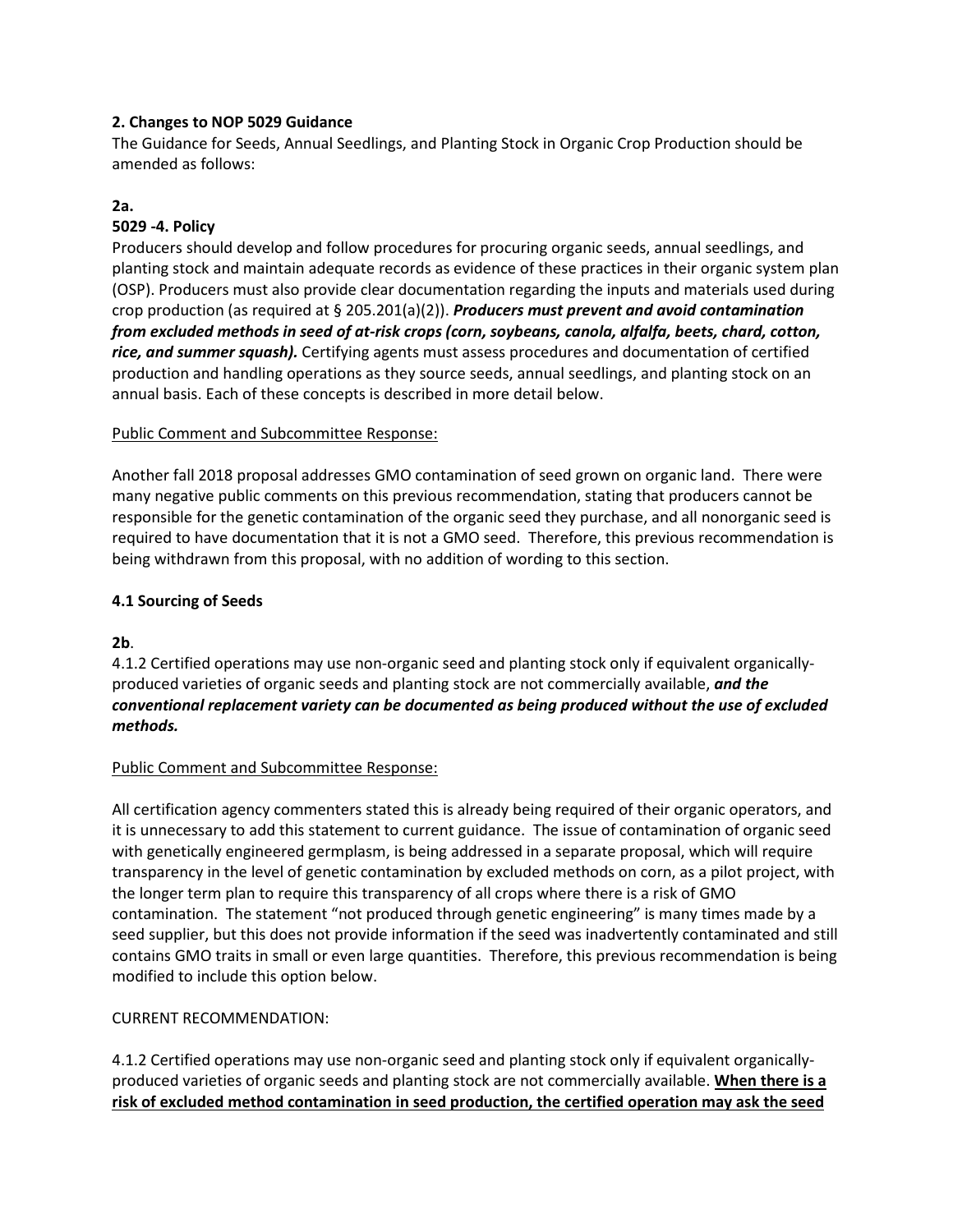### **2. Changes to NOP 5029 Guidance**

The Guidance for Seeds, Annual Seedlings, and Planting Stock in Organic Crop Production should be amended as follows:

### **2a.**

### **5029 -4. Policy**

Producers should develop and follow procedures for procuring organic seeds, annual seedlings, and planting stock and maintain adequate records as evidence of these practices in their organic system plan (OSP). Producers must also provide clear documentation regarding the inputs and materials used during crop production (as required at § 205.201(a)(2)). *Producers must prevent and avoid contamination from excluded methods in seed of at-risk crops (corn, soybeans, canola, alfalfa, beets, chard, cotton, rice, and summer squash).* Certifying agents must assess procedures and documentation of certified production and handling operations as they source seeds, annual seedlings, and planting stock on an annual basis. Each of these concepts is described in more detail below.

### Public Comment and Subcommittee Response:

Another fall 2018 proposal addresses GMO contamination of seed grown on organic land. There were many negative public comments on this previous recommendation, stating that producers cannot be responsible for the genetic contamination of the organic seed they purchase, and all nonorganic seed is required to have documentation that it is not a GMO seed. Therefore, this previous recommendation is being withdrawn from this proposal, with no addition of wording to this section.

### **4.1 Sourcing of Seeds**

**2b**.

4.1.2 Certified operations may use non-organic seed and planting stock only if equivalent organicallyproduced varieties of organic seeds and planting stock are not commercially available, *and the conventional replacement variety can be documented as being produced without the use of excluded methods.*

### Public Comment and Subcommittee Response:

All certification agency commenters stated this is already being required of their organic operators, and it is unnecessary to add this statement to current guidance. The issue of contamination of organic seed with genetically engineered germplasm, is being addressed in a separate proposal, which will require transparency in the level of genetic contamination by excluded methods on corn, as a pilot project, with the longer term plan to require this transparency of all crops where there is a risk of GMO contamination. The statement "not produced through genetic engineering" is many times made by a seed supplier, but this does not provide information if the seed was inadvertently contaminated and still contains GMO traits in small or even large quantities. Therefore, this previous recommendation is being modified to include this option below.

### CURRENT RECOMMENDATION:

4.1.2 Certified operations may use non-organic seed and planting stock only if equivalent organicallyproduced varieties of organic seeds and planting stock are not commercially available. **When there is a risk of excluded method contamination in seed production, the certified operation may ask the seed**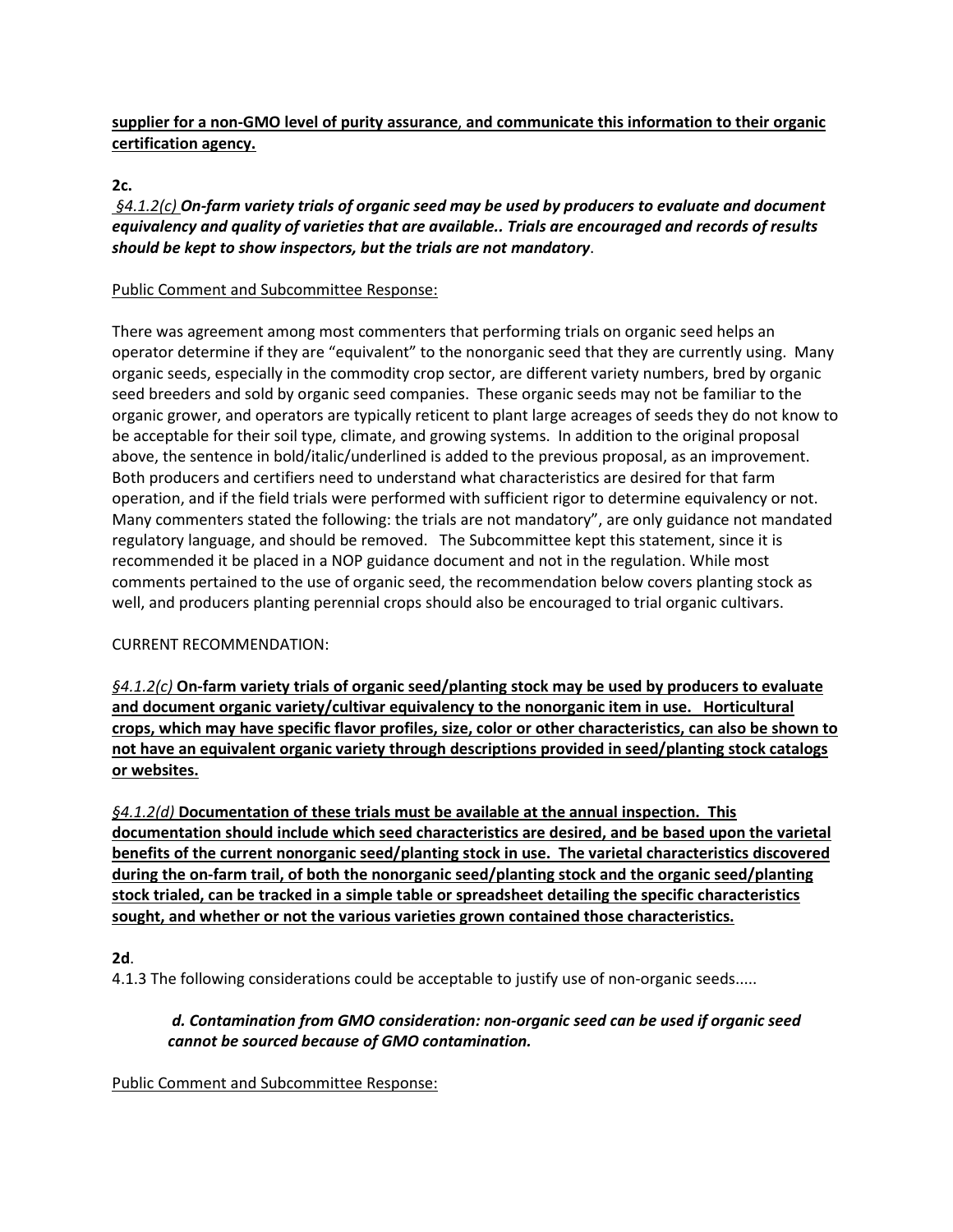# **supplier for a non-GMO level of purity assurance**, **and communicate this information to their organic certification agency.**

### **2c.**

*§4.1.2(c) On-farm variety trials of organic seed may be used by producers to evaluate and document equivalency and quality of varieties that are available.. Trials are encouraged and records of results should be kept to show inspectors, but the trials are not mandatory*.

### Public Comment and Subcommittee Response:

There was agreement among most commenters that performing trials on organic seed helps an operator determine if they are "equivalent" to the nonorganic seed that they are currently using. Many organic seeds, especially in the commodity crop sector, are different variety numbers, bred by organic seed breeders and sold by organic seed companies. These organic seeds may not be familiar to the organic grower, and operators are typically reticent to plant large acreages of seeds they do not know to be acceptable for their soil type, climate, and growing systems. In addition to the original proposal above, the sentence in bold/italic/underlined is added to the previous proposal, as an improvement. Both producers and certifiers need to understand what characteristics are desired for that farm operation, and if the field trials were performed with sufficient rigor to determine equivalency or not. Many commenters stated the following: the trials are not mandatory", are only guidance not mandated regulatory language, and should be removed. The Subcommittee kept this statement, since it is recommended it be placed in a NOP guidance document and not in the regulation. While most comments pertained to the use of organic seed, the recommendation below covers planting stock as well, and producers planting perennial crops should also be encouraged to trial organic cultivars.

### CURRENT RECOMMENDATION:

*§4.1.2(c)* **On-farm variety trials of organic seed/planting stock may be used by producers to evaluate and document organic variety/cultivar equivalency to the nonorganic item in use. Horticultural crops, which may have specific flavor profiles, size, color or other characteristics, can also be shown to not have an equivalent organic variety through descriptions provided in seed/planting stock catalogs or websites.**

*§4.1.2(d)* **Documentation of these trials must be available at the annual inspection. This documentation should include which seed characteristics are desired, and be based upon the varietal benefits of the current nonorganic seed/planting stock in use. The varietal characteristics discovered during the on-farm trail, of both the nonorganic seed/planting stock and the organic seed/planting stock trialed, can be tracked in a simple table or spreadsheet detailing the specific characteristics sought, and whether or not the various varieties grown contained those characteristics.**

### **2d**.

4.1.3 The following considerations could be acceptable to justify use of non-organic seeds.....

### *d. Contamination from GMO consideration: non-organic seed can be used if organic seed cannot be sourced because of GMO contamination.*

### Public Comment and Subcommittee Response: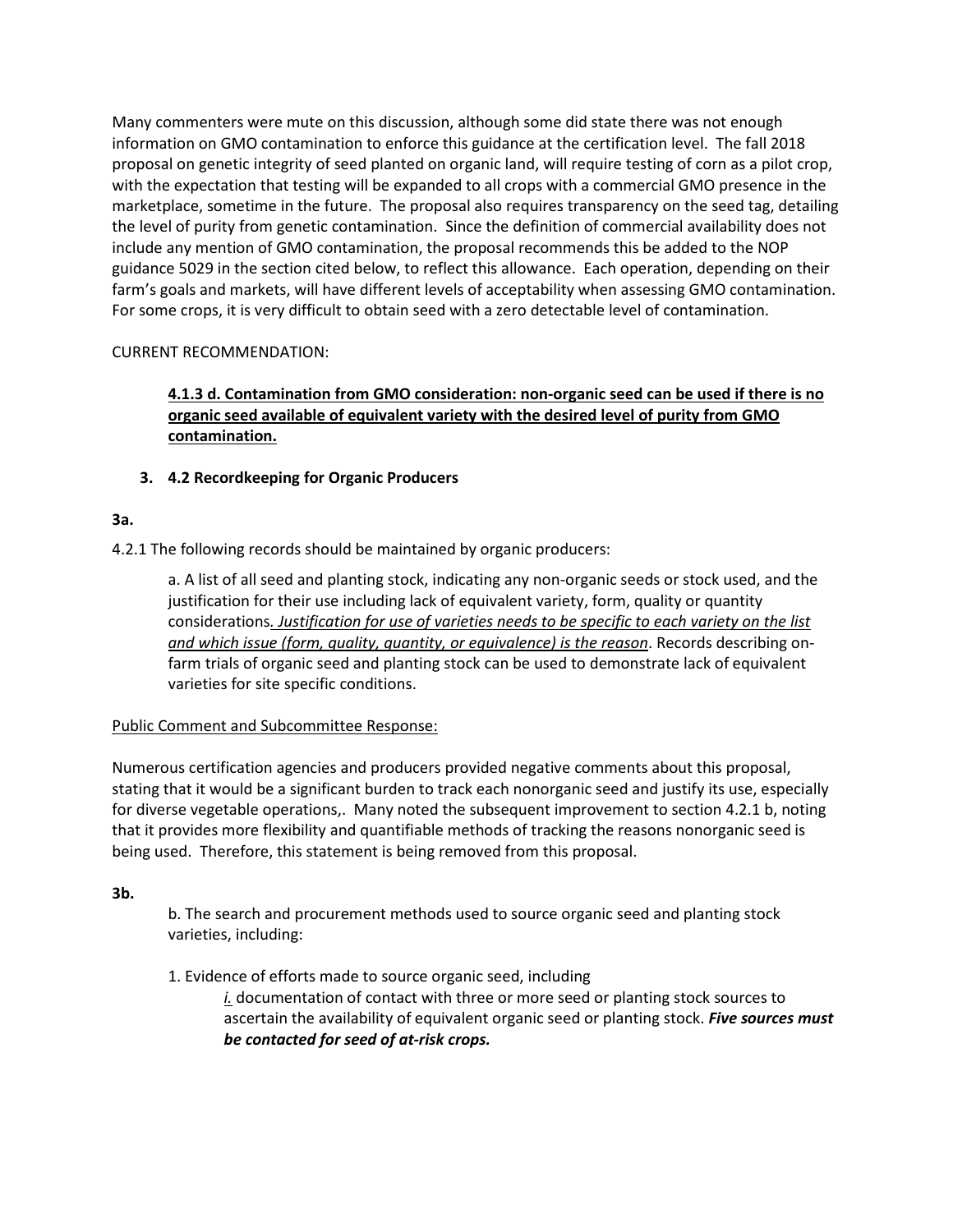Many commenters were mute on this discussion, although some did state there was not enough information on GMO contamination to enforce this guidance at the certification level. The fall 2018 proposal on genetic integrity of seed planted on organic land, will require testing of corn as a pilot crop, with the expectation that testing will be expanded to all crops with a commercial GMO presence in the marketplace, sometime in the future. The proposal also requires transparency on the seed tag, detailing the level of purity from genetic contamination. Since the definition of commercial availability does not include any mention of GMO contamination, the proposal recommends this be added to the NOP guidance 5029 in the section cited below, to reflect this allowance. Each operation, depending on their farm's goals and markets, will have different levels of acceptability when assessing GMO contamination. For some crops, it is very difficult to obtain seed with a zero detectable level of contamination.

### CURRENT RECOMMENDATION:

# **4.1.3 d. Contamination from GMO consideration: non-organic seed can be used if there is no organic seed available of equivalent variety with the desired level of purity from GMO contamination.**

# **3. 4.2 Recordkeeping for Organic Producers**

# **3a.**

4.2.1 The following records should be maintained by organic producers:

a. A list of all seed and planting stock, indicating any non-organic seeds or stock used, and the justification for their use including lack of equivalent variety, form, quality or quantity considerations*. Justification for use of varieties needs to be specific to each variety on the list and which issue (form, quality, quantity, or equivalence) is the reason*. Records describing onfarm trials of organic seed and planting stock can be used to demonstrate lack of equivalent varieties for site specific conditions.

### Public Comment and Subcommittee Response:

Numerous certification agencies and producers provided negative comments about this proposal, stating that it would be a significant burden to track each nonorganic seed and justify its use, especially for diverse vegetable operations,. Many noted the subsequent improvement to section 4.2.1 b, noting that it provides more flexibility and quantifiable methods of tracking the reasons nonorganic seed is being used. Therefore, this statement is being removed from this proposal.

### **3b.**

b. The search and procurement methods used to source organic seed and planting stock varieties, including:

1. Evidence of efforts made to source organic seed, including

*i.* documentation of contact with three or more seed or planting stock sources to ascertain the availability of equivalent organic seed or planting stock. *Five sources must be contacted for seed of at-risk crops.*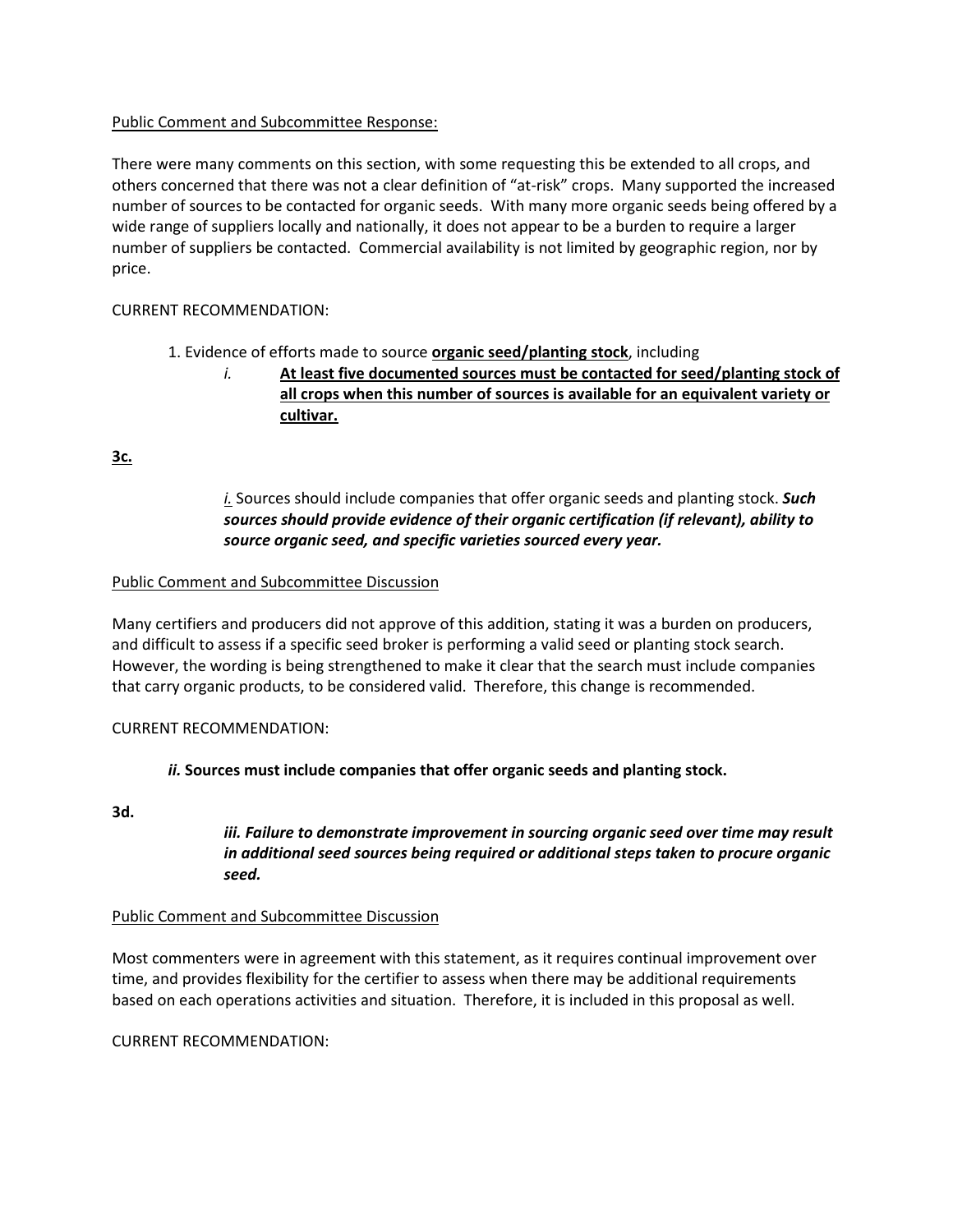### Public Comment and Subcommittee Response:

There were many comments on this section, with some requesting this be extended to all crops, and others concerned that there was not a clear definition of "at-risk" crops. Many supported the increased number of sources to be contacted for organic seeds. With many more organic seeds being offered by a wide range of suppliers locally and nationally, it does not appear to be a burden to require a larger number of suppliers be contacted. Commercial availability is not limited by geographic region, nor by price.

### CURRENT RECOMMENDATION:

- 1. Evidence of efforts made to source **organic seed/planting stock**, including
	- *i.* **At least five documented sources must be contacted for seed/planting stock of all crops when this number of sources is available for an equivalent variety or cultivar.**

**3c.** 

## *i.* Sources should include companies that offer organic seeds and planting stock. *Such sources should provide evidence of their organic certification (if relevant), ability to source organic seed, and specific varieties sourced every year.*

### Public Comment and Subcommittee Discussion

Many certifiers and producers did not approve of this addition, stating it was a burden on producers, and difficult to assess if a specific seed broker is performing a valid seed or planting stock search. However, the wording is being strengthened to make it clear that the search must include companies that carry organic products, to be considered valid. Therefore, this change is recommended.

### CURRENT RECOMMENDATION:

### *ii.* **Sources must include companies that offer organic seeds and planting stock.**

**3d.**

### *iii. Failure to demonstrate improvement in sourcing organic seed over time may result in additional seed sources being required or additional steps taken to procure organic seed.*

### Public Comment and Subcommittee Discussion

Most commenters were in agreement with this statement, as it requires continual improvement over time, and provides flexibility for the certifier to assess when there may be additional requirements based on each operations activities and situation. Therefore, it is included in this proposal as well.

CURRENT RECOMMENDATION: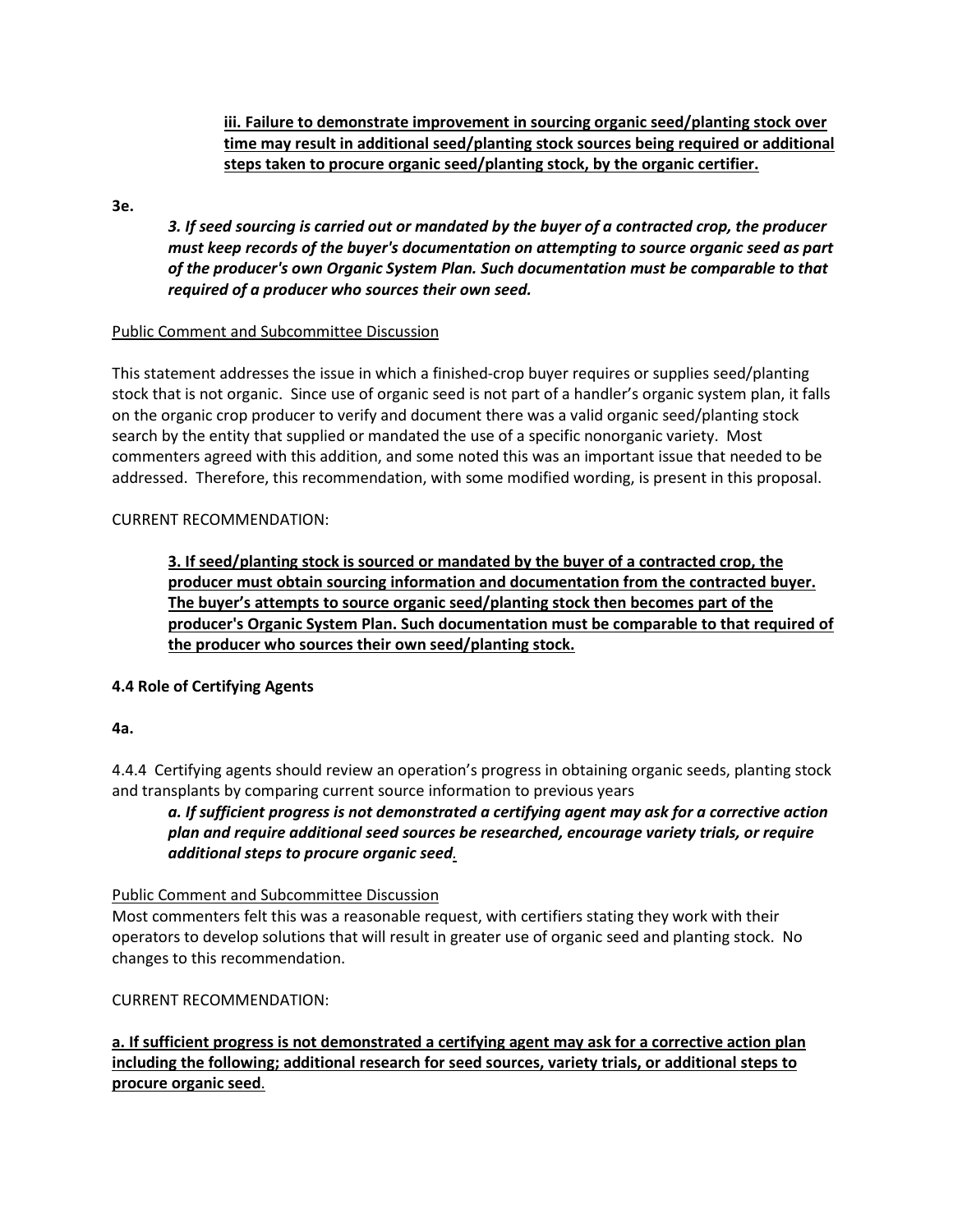**iii. Failure to demonstrate improvement in sourcing organic seed/planting stock over time may result in additional seed/planting stock sources being required or additional steps taken to procure organic seed/planting stock, by the organic certifier.**

**3e.** 

*3. If seed sourcing is carried out or mandated by the buyer of a contracted crop, the producer must keep records of the buyer's documentation on attempting to source organic seed as part of the producer's own Organic System Plan. Such documentation must be comparable to that required of a producer who sources their own seed.*

### Public Comment and Subcommittee Discussion

This statement addresses the issue in which a finished-crop buyer requires or supplies seed/planting stock that is not organic. Since use of organic seed is not part of a handler's organic system plan, it falls on the organic crop producer to verify and document there was a valid organic seed/planting stock search by the entity that supplied or mandated the use of a specific nonorganic variety. Most commenters agreed with this addition, and some noted this was an important issue that needed to be addressed. Therefore, this recommendation, with some modified wording, is present in this proposal.

### CURRENT RECOMMENDATION:

**3. If seed/planting stock is sourced or mandated by the buyer of a contracted crop, the producer must obtain sourcing information and documentation from the contracted buyer. The buyer's attempts to source organic seed/planting stock then becomes part of the producer's Organic System Plan. Such documentation must be comparable to that required of the producer who sources their own seed/planting stock.**

### **4.4 Role of Certifying Agents**

### **4a.**

4.4.4 Certifying agents should review an operation's progress in obtaining organic seeds, planting stock and transplants by comparing current source information to previous years

*a. If sufficient progress is not demonstrated a certifying agent may ask for a corrective action plan and require additional seed sources be researched, encourage variety trials, or require additional steps to procure organic seed.*

### Public Comment and Subcommittee Discussion

Most commenters felt this was a reasonable request, with certifiers stating they work with their operators to develop solutions that will result in greater use of organic seed and planting stock. No changes to this recommendation.

### CURRENT RECOMMENDATION:

**a. If sufficient progress is not demonstrated a certifying agent may ask for a corrective action plan including the following; additional research for seed sources, variety trials, or additional steps to procure organic seed**.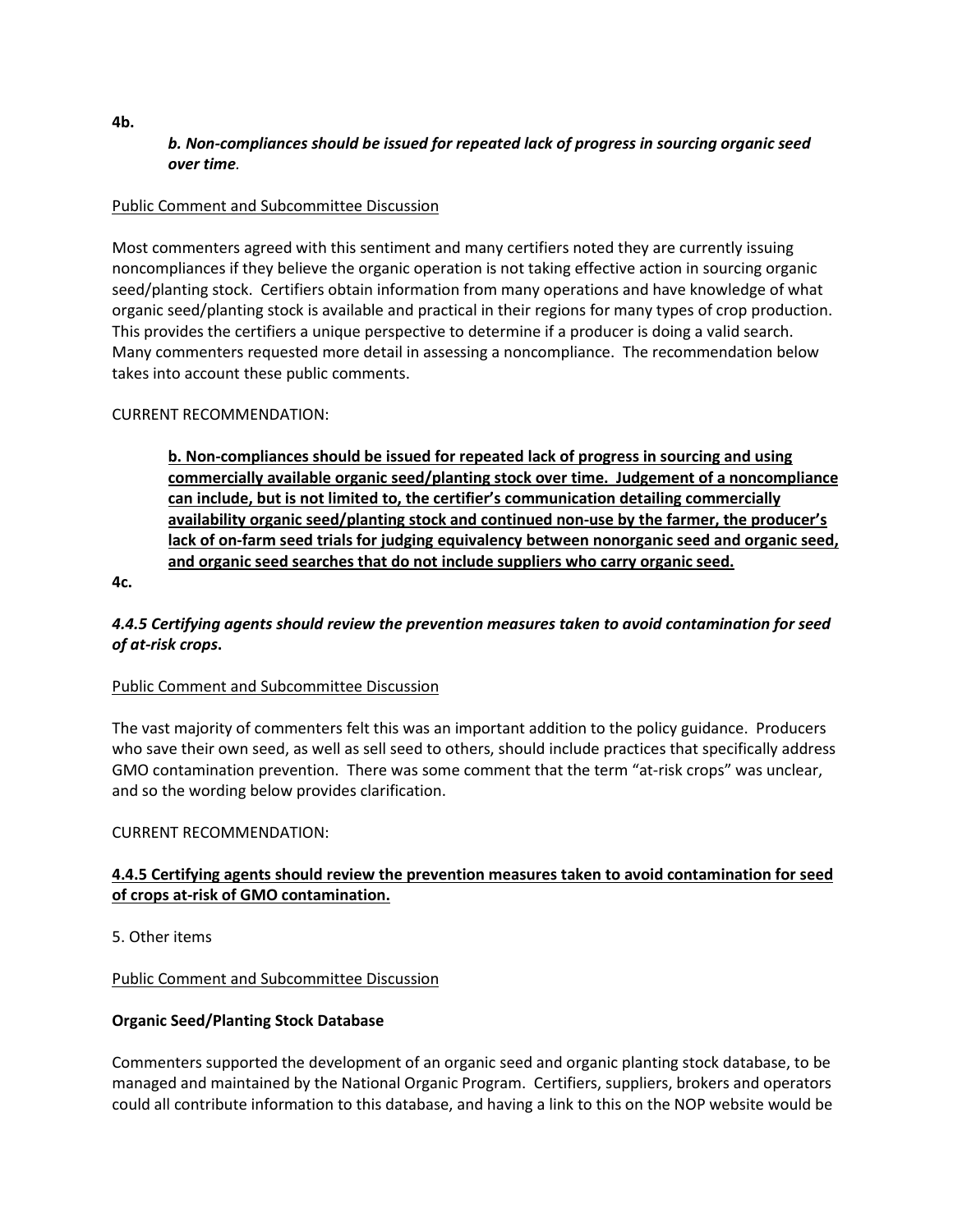# *b. Non-compliances should be issued for repeated lack of progress in sourcing organic seed over time.*

### Public Comment and Subcommittee Discussion

Most commenters agreed with this sentiment and many certifiers noted they are currently issuing noncompliances if they believe the organic operation is not taking effective action in sourcing organic seed/planting stock. Certifiers obtain information from many operations and have knowledge of what organic seed/planting stock is available and practical in their regions for many types of crop production. This provides the certifiers a unique perspective to determine if a producer is doing a valid search. Many commenters requested more detail in assessing a noncompliance. The recommendation below takes into account these public comments.

### CURRENT RECOMMENDATION:

**b. Non-compliances should be issued for repeated lack of progress in sourcing and using commercially available organic seed/planting stock over time. Judgement of a noncompliance can include, but is not limited to, the certifier's communication detailing commercially availability organic seed/planting stock and continued non-use by the farmer, the producer's lack of on-farm seed trials for judging equivalency between nonorganic seed and organic seed, and organic seed searches that do not include suppliers who carry organic seed.**

**4c.** 

### *4.4.5 Certifying agents should review the prevention measures taken to avoid contamination for seed of at-risk crops***.**

### Public Comment and Subcommittee Discussion

The vast majority of commenters felt this was an important addition to the policy guidance. Producers who save their own seed, as well as sell seed to others, should include practices that specifically address GMO contamination prevention. There was some comment that the term "at-risk crops" was unclear, and so the wording below provides clarification.

### CURRENT RECOMMENDATION:

# **4.4.5 Certifying agents should review the prevention measures taken to avoid contamination for seed of crops at-risk of GMO contamination.**

5. Other items

### Public Comment and Subcommittee Discussion

### **Organic Seed/Planting Stock Database**

Commenters supported the development of an organic seed and organic planting stock database, to be managed and maintained by the National Organic Program. Certifiers, suppliers, brokers and operators could all contribute information to this database, and having a link to this on the NOP website would be

**4b.**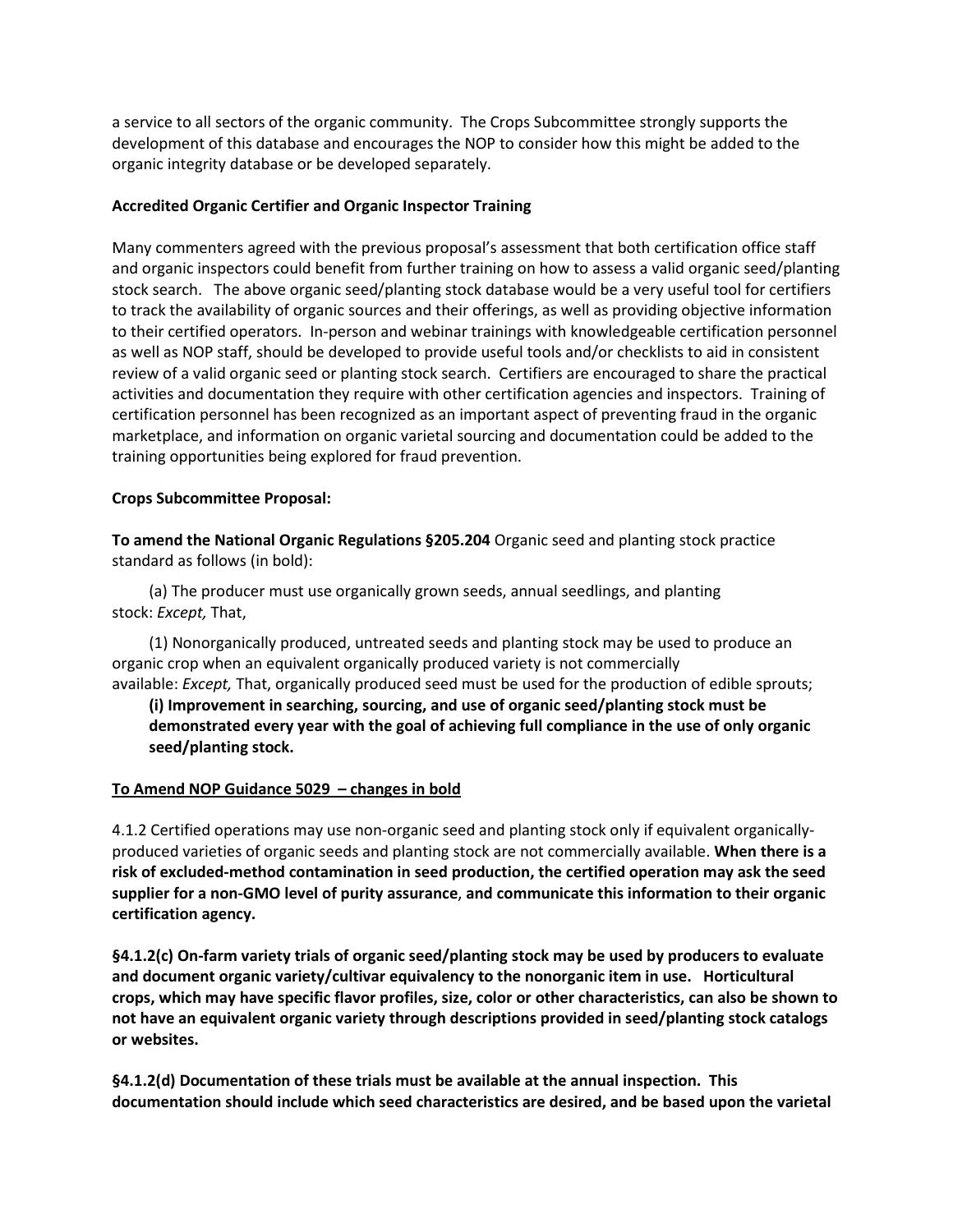a service to all sectors of the organic community. The Crops Subcommittee strongly supports the development of this database and encourages the NOP to consider how this might be added to the organic integrity database or be developed separately.

#### **Accredited Organic Certifier and Organic Inspector Training**

Many commenters agreed with the previous proposal's assessment that both certification office staff and organic inspectors could benefit from further training on how to assess a valid organic seed/planting stock search. The above organic seed/planting stock database would be a very useful tool for certifiers to track the availability of organic sources and their offerings, as well as providing objective information to their certified operators. In-person and webinar trainings with knowledgeable certification personnel as well as NOP staff, should be developed to provide useful tools and/or checklists to aid in consistent review of a valid organic seed or planting stock search. Certifiers are encouraged to share the practical activities and documentation they require with other certification agencies and inspectors. Training of certification personnel has been recognized as an important aspect of preventing fraud in the organic marketplace, and information on organic varietal sourcing and documentation could be added to the training opportunities being explored for fraud prevention.

#### **Crops Subcommittee Proposal:**

**To amend the National Organic Regulations §205.204** Organic seed and planting stock practice standard as follows (in bold):

(a) The producer must use organically grown seeds, annual seedlings, and planting stock: *Except,* That,

(1) Nonorganically produced, untreated seeds and planting stock may be used to produce an organic crop when an equivalent organically produced variety is not commercially available: *Except,* That, organically produced seed must be used for the production of edible sprouts;

**(i) Improvement in searching, sourcing, and use of organic seed/planting stock must be demonstrated every year with the goal of achieving full compliance in the use of only organic seed/planting stock.**

#### **To Amend NOP Guidance 5029 – changes in bold**

4.1.2 Certified operations may use non-organic seed and planting stock only if equivalent organicallyproduced varieties of organic seeds and planting stock are not commercially available. **When there is a risk of excluded-method contamination in seed production, the certified operation may ask the seed supplier for a non-GMO level of purity assurance**, **and communicate this information to their organic certification agency.**

**§4.1.2(c) On-farm variety trials of organic seed/planting stock may be used by producers to evaluate and document organic variety/cultivar equivalency to the nonorganic item in use. Horticultural crops, which may have specific flavor profiles, size, color or other characteristics, can also be shown to not have an equivalent organic variety through descriptions provided in seed/planting stock catalogs or websites.**

**§4.1.2(d) Documentation of these trials must be available at the annual inspection. This documentation should include which seed characteristics are desired, and be based upon the varietal**